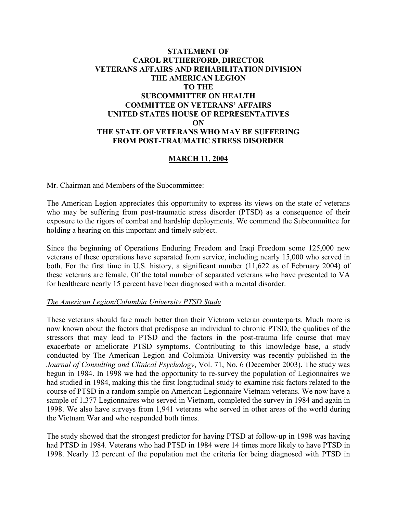# **STATEMENT OF CAROL RUTHERFORD, DIRECTOR VETERANS AFFAIRS AND REHABILITATION DIVISION THE AMERICAN LEGION TO THE SUBCOMMITTEE ON HEALTH COMMITTEE ON VETERANS' AFFAIRS UNITED STATES HOUSE OF REPRESENTATIVES ON THE STATE OF VETERANS WHO MAY BE SUFFERING FROM POST-TRAUMATIC STRESS DISORDER**

# **MARCH 11, 2004**

Mr. Chairman and Members of the Subcommittee:

The American Legion appreciates this opportunity to express its views on the state of veterans who may be suffering from post-traumatic stress disorder (PTSD) as a consequence of their exposure to the rigors of combat and hardship deployments. We commend the Subcommittee for holding a hearing on this important and timely subject.

Since the beginning of Operations Enduring Freedom and Iraqi Freedom some 125,000 new veterans of these operations have separated from service, including nearly 15,000 who served in both. For the first time in U.S. history, a significant number (11,622 as of February 2004) of these veterans are female. Of the total number of separated veterans who have presented to VA for healthcare nearly 15 percent have been diagnosed with a mental disorder.

#### *The American Legion/Columbia University PTSD Study*

These veterans should fare much better than their Vietnam veteran counterparts. Much more is now known about the factors that predispose an individual to chronic PTSD, the qualities of the stressors that may lead to PTSD and the factors in the post-trauma life course that may exacerbate or ameliorate PTSD symptoms. Contributing to this knowledge base, a study conducted by The American Legion and Columbia University was recently published in the *Journal of Consulting and Clinical Psychology*, Vol. 71, No. 6 (December 2003). The study was begun in 1984. In 1998 we had the opportunity to re-survey the population of Legionnaires we had studied in 1984, making this the first longitudinal study to examine risk factors related to the course of PTSD in a random sample on American Legionnaire Vietnam veterans. We now have a sample of 1,377 Legionnaires who served in Vietnam, completed the survey in 1984 and again in 1998. We also have surveys from 1,941 veterans who served in other areas of the world during the Vietnam War and who responded both times.

The study showed that the strongest predictor for having PTSD at follow-up in 1998 was having had PTSD in 1984. Veterans who had PTSD in 1984 were 14 times more likely to have PTSD in 1998. Nearly 12 percent of the population met the criteria for being diagnosed with PTSD in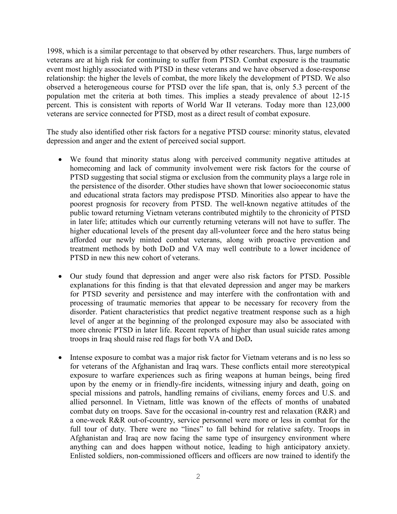1998, which is a similar percentage to that observed by other researchers. Thus, large numbers of veterans are at high risk for continuing to suffer from PTSD. Combat exposure is the traumatic event most highly associated with PTSD in these veterans and we have observed a dose-response relationship: the higher the levels of combat, the more likely the development of PTSD. We also observed a heterogeneous course for PTSD over the life span, that is, only 5.3 percent of the population met the criteria at both times. This implies a steady prevalence of about 12-15 percent. This is consistent with reports of World War II veterans. Today more than 123,000 veterans are service connected for PTSD, most as a direct result of combat exposure.

The study also identified other risk factors for a negative PTSD course: minority status, elevated depression and anger and the extent of perceived social support.

- We found that minority status along with perceived community negative attitudes at homecoming and lack of community involvement were risk factors for the course of PTSD suggesting that social stigma or exclusion from the community plays a large role in the persistence of the disorder. Other studies have shown that lower socioeconomic status and educational strata factors may predispose PTSD. Minorities also appear to have the poorest prognosis for recovery from PTSD. The well-known negative attitudes of the public toward returning Vietnam veterans contributed mightily to the chronicity of PTSD in later life; attitudes which our currently returning veterans will not have to suffer. The higher educational levels of the present day all-volunteer force and the hero status being afforded our newly minted combat veterans, along with proactive prevention and treatment methods by both DoD and VA may well contribute to a lower incidence of PTSD in new this new cohort of veterans.
- Our study found that depression and anger were also risk factors for PTSD. Possible explanations for this finding is that that elevated depression and anger may be markers for PTSD severity and persistence and may interfere with the confrontation with and processing of traumatic memories that appear to be necessary for recovery from the disorder. Patient characteristics that predict negative treatment response such as a high level of anger at the beginning of the prolonged exposure may also be associated with more chronic PTSD in later life. Recent reports of higher than usual suicide rates among troops in Iraq should raise red flags for both VA and DoD**.**
- Intense exposure to combat was a major risk factor for Vietnam veterans and is no less so for veterans of the Afghanistan and Iraq wars. These conflicts entail more stereotypical exposure to warfare experiences such as firing weapons at human beings, being fired upon by the enemy or in friendly-fire incidents, witnessing injury and death, going on special missions and patrols, handling remains of civilians, enemy forces and U.S. and allied personnel. In Vietnam, little was known of the effects of months of unabated combat duty on troops. Save for the occasional in-country rest and relaxation (R&R) and a one-week R&R out-of-country, service personnel were more or less in combat for the full tour of duty. There were no "lines" to fall behind for relative safety. Troops in Afghanistan and Iraq are now facing the same type of insurgency environment where anything can and does happen without notice, leading to high anticipatory anxiety. Enlisted soldiers, non-commissioned officers and officers are now trained to identify the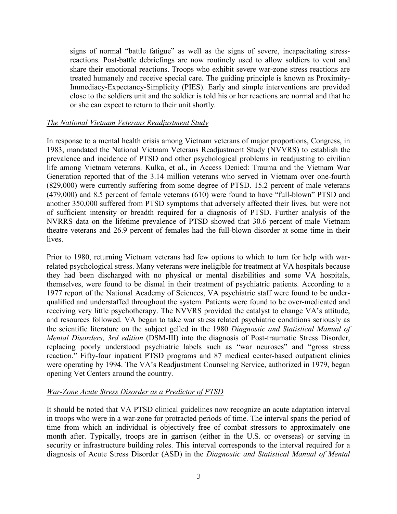signs of normal "battle fatigue" as well as the signs of severe, incapacitating stressreactions. Post-battle debriefings are now routinely used to allow soldiers to vent and share their emotional reactions. Troops who exhibit severe war-zone stress reactions are treated humanely and receive special care. The guiding principle is known as Proximity-Immediacy-Expectancy-Simplicity (PIES). Early and simple interventions are provided close to the soldiers unit and the soldier is told his or her reactions are normal and that he or she can expect to return to their unit shortly.

#### *The National Vietnam Veterans Readjustment Study*

In response to a mental health crisis among Vietnam veterans of major proportions, Congress, in 1983, mandated the National Vietnam Veterans Readjustment Study (NVVRS) to establish the prevalence and incidence of PTSD and other psychological problems in readjusting to civilian life among Vietnam veterans. Kulka, et al., in Access Denied: Trauma and the Vietnam War Generation reported that of the 3.14 million veterans who served in Vietnam over one-fourth (829,000) were currently suffering from some degree of PTSD. 15.2 percent of male veterans (479,000) and 8.5 percent of female veterans (610) were found to have "full-blown" PTSD and another 350,000 suffered from PTSD symptoms that adversely affected their lives, but were not of sufficient intensity or breadth required for a diagnosis of PTSD. Further analysis of the NVRRS data on the lifetime prevalence of PTSD showed that 30.6 percent of male Vietnam theatre veterans and 26.9 percent of females had the full-blown disorder at some time in their lives.

Prior to 1980, returning Vietnam veterans had few options to which to turn for help with warrelated psychological stress. Many veterans were ineligible for treatment at VA hospitals because they had been discharged with no physical or mental disabilities and some VA hospitals, themselves, were found to be dismal in their treatment of psychiatric patients. According to a 1977 report of the National Academy of Sciences, VA psychiatric staff were found to be underqualified and understaffed throughout the system. Patients were found to be over-medicated and receiving very little psychotherapy. The NVVRS provided the catalyst to change VA's attitude, and resources followed. VA began to take war stress related psychiatric conditions seriously as the scientific literature on the subject gelled in the 1980 *Diagnostic and Statistical Manual of Mental Disorders, 3rd edition* (DSM-III) into the diagnosis of Post-traumatic Stress Disorder, replacing poorly understood psychiatric labels such as "war neuroses" and "gross stress reaction." Fifty-four inpatient PTSD programs and 87 medical center-based outpatient clinics were operating by 1994. The VA's Readjustment Counseling Service, authorized in 1979, began opening Vet Centers around the country.

#### *War-Zone Acute Stress Disorder as a Predictor of PTSD*

It should be noted that VA PTSD clinical guidelines now recognize an acute adaptation interval in troops who were in a war-zone for protracted periods of time. The interval spans the period of time from which an individual is objectively free of combat stressors to approximately one month after. Typically, troops are in garrison (either in the U.S. or overseas) or serving in security or infrastructure building roles. This interval corresponds to the interval required for a diagnosis of Acute Stress Disorder (ASD) in the *Diagnostic and Statistical Manual of Mental*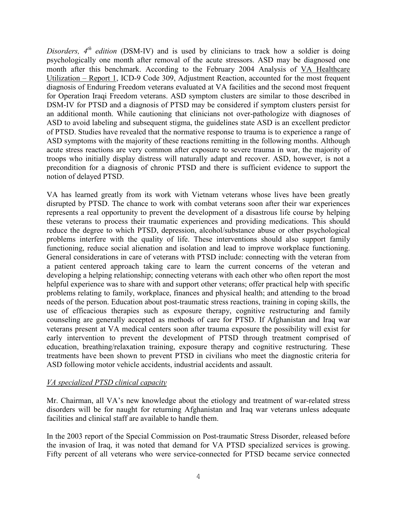*Disorders, 4th edition* (DSM-IV) and is used by clinicians to track how a soldier is doing psychologically one month after removal of the acute stressors. ASD may be diagnosed one month after this benchmark. According to the February 2004 Analysis of VA Healthcare Utilization – Report 1, ICD-9 Code 309, Adjustment Reaction, accounted for the most frequent diagnosis of Enduring Freedom veterans evaluated at VA facilities and the second most frequent for Operation Iraqi Freedom veterans. ASD symptom clusters are similar to those described in DSM-IV for PTSD and a diagnosis of PTSD may be considered if symptom clusters persist for an additional month. While cautioning that clinicians not over-pathologize with diagnoses of ASD to avoid labeling and subsequent stigma, the guidelines state ASD is an excellent predictor of PTSD. Studies have revealed that the normative response to trauma is to experience a range of ASD symptoms with the majority of these reactions remitting in the following months. Although acute stress reactions are very common after exposure to severe trauma in war, the majority of troops who initially display distress will naturally adapt and recover. ASD, however, is not a precondition for a diagnosis of chronic PTSD and there is sufficient evidence to support the notion of delayed PTSD.

VA has learned greatly from its work with Vietnam veterans whose lives have been greatly disrupted by PTSD. The chance to work with combat veterans soon after their war experiences represents a real opportunity to prevent the development of a disastrous life course by helping these veterans to process their traumatic experiences and providing medications. This should reduce the degree to which PTSD, depression, alcohol/substance abuse or other psychological problems interfere with the quality of life. These interventions should also support family functioning, reduce social alienation and isolation and lead to improve workplace functioning. General considerations in care of veterans with PTSD include: connecting with the veteran from a patient centered approach taking care to learn the current concerns of the veteran and developing a helping relationship; connecting veterans with each other who often report the most helpful experience was to share with and support other veterans; offer practical help with specific problems relating to family, workplace, finances and physical health; and attending to the broad needs of the person. Education about post-traumatic stress reactions, training in coping skills, the use of efficacious therapies such as exposure therapy, cognitive restructuring and family counseling are generally accepted as methods of care for PTSD. If Afghanistan and Iraq war veterans present at VA medical centers soon after trauma exposure the possibility will exist for early intervention to prevent the development of PTSD through treatment comprised of education, breathing/relaxation training, exposure therapy and cognitive restructuring. These treatments have been shown to prevent PTSD in civilians who meet the diagnostic criteria for ASD following motor vehicle accidents, industrial accidents and assault.

# *VA specialized PTSD clinical capacity*

Mr. Chairman, all VA's new knowledge about the etiology and treatment of war-related stress disorders will be for naught for returning Afghanistan and Iraq war veterans unless adequate facilities and clinical staff are available to handle them.

In the 2003 report of the Special Commission on Post-traumatic Stress Disorder, released before the invasion of Iraq, it was noted that demand for VA PTSD specialized services is growing. Fifty percent of all veterans who were service-connected for PTSD became service connected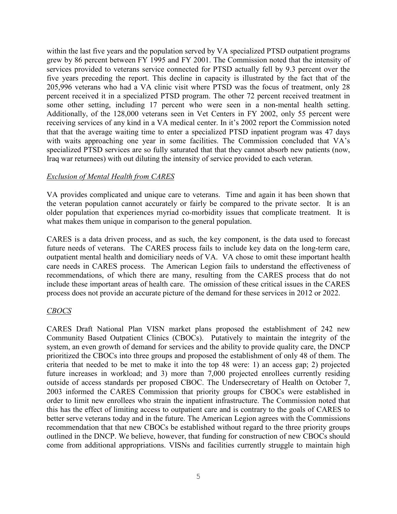within the last five years and the population served by VA specialized PTSD outpatient programs grew by 86 percent between FY 1995 and FY 2001. The Commission noted that the intensity of services provided to veterans service connected for PTSD actually fell by 9.3 percent over the five years preceding the report. This decline in capacity is illustrated by the fact that of the 205,996 veterans who had a VA clinic visit where PTSD was the focus of treatment, only 28 percent received it in a specialized PTSD program. The other 72 percent received treatment in some other setting, including 17 percent who were seen in a non-mental health setting. Additionally, of the 128,000 veterans seen in Vet Centers in FY 2002, only 55 percent were receiving services of any kind in a VA medical center. In it's 2002 report the Commission noted that that the average waiting time to enter a specialized PTSD inpatient program was 47 days with waits approaching one year in some facilities. The Commission concluded that VA's specialized PTSD services are so fully saturated that that they cannot absorb new patients (now, Iraq war returnees) with out diluting the intensity of service provided to each veteran.

### *Exclusion of Mental Health from CARES*

VA provides complicated and unique care to veterans. Time and again it has been shown that the veteran population cannot accurately or fairly be compared to the private sector. It is an older population that experiences myriad co-morbidity issues that complicate treatment. It is what makes them unique in comparison to the general population.

CARES is a data driven process, and as such, the key component, is the data used to forecast future needs of veterans. The CARES process fails to include key data on the long-term care, outpatient mental health and domiciliary needs of VA. VA chose to omit these important health care needs in CARES process. The American Legion fails to understand the effectiveness of recommendations, of which there are many, resulting from the CARES process that do not include these important areas of health care. The omission of these critical issues in the CARES process does not provide an accurate picture of the demand for these services in 2012 or 2022.

# *CBOCS*

CARES Draft National Plan VISN market plans proposed the establishment of 242 new Community Based Outpatient Clinics (CBOCs). Putatively to maintain the integrity of the system, an even growth of demand for services and the ability to provide quality care, the DNCP prioritized the CBOCs into three groups and proposed the establishment of only 48 of them. The criteria that needed to be met to make it into the top 48 were: 1) an access gap; 2) projected future increases in workload; and 3) more than 7,000 projected enrollees currently residing outside of access standards per proposed CBOC. The Undersecretary of Health on October 7, 2003 informed the CARES Commission that priority groups for CBOCs were established in order to limit new enrollees who strain the inpatient infrastructure. The Commission noted that this has the effect of limiting access to outpatient care and is contrary to the goals of CARES to better serve veterans today and in the future. The American Legion agrees with the Commissions recommendation that that new CBOCs be established without regard to the three priority groups outlined in the DNCP. We believe, however, that funding for construction of new CBOCs should come from additional appropriations. VISNs and facilities currently struggle to maintain high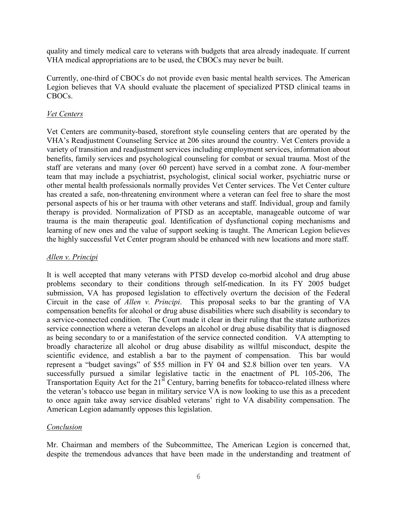quality and timely medical care to veterans with budgets that area already inadequate. If current VHA medical appropriations are to be used, the CBOCs may never be built.

Currently, one-third of CBOCs do not provide even basic mental health services. The American Legion believes that VA should evaluate the placement of specialized PTSD clinical teams in CBOCs.

### *Vet Centers*

Vet Centers are community-based, storefront style counseling centers that are operated by the VHA's Readjustment Counseling Service at 206 sites around the country. Vet Centers provide a variety of transition and readjustment services including employment services, information about benefits, family services and psychological counseling for combat or sexual trauma. Most of the staff are veterans and many (over 60 percent) have served in a combat zone. A four-member team that may include a psychiatrist, psychologist, clinical social worker, psychiatric nurse or other mental health professionals normally provides Vet Center services. The Vet Center culture has created a safe, non-threatening environment where a veteran can feel free to share the most personal aspects of his or her trauma with other veterans and staff. Individual, group and family therapy is provided. Normalization of PTSD as an acceptable, manageable outcome of war trauma is the main therapeutic goal. Identification of dysfunctional coping mechanisms and learning of new ones and the value of support seeking is taught. The American Legion believes the highly successful Vet Center program should be enhanced with new locations and more staff.

### *Allen v. Principi*

It is well accepted that many veterans with PTSD develop co-morbid alcohol and drug abuse problems secondary to their conditions through self-medication. In its FY 2005 budget submission, VA has proposed legislation to effectively overturn the decision of the Federal Circuit in the case of *Allen v. Principi*. This proposal seeks to bar the granting of VA compensation benefits for alcohol or drug abuse disabilities where such disability is secondary to a service-connected condition. The Court made it clear in their ruling that the statute authorizes service connection where a veteran develops an alcohol or drug abuse disability that is diagnosed as being secondary to or a manifestation of the service connected condition. VA attempting to broadly characterize all alcohol or drug abuse disability as willful misconduct, despite the scientific evidence, and establish a bar to the payment of compensation. This bar would represent a "budget savings" of \$55 million in FY 04 and \$2.8 billion over ten years. VA successfully pursued a similar legislative tactic in the enactment of PL 105-206, The Transportation Equity Act for the  $21<sup>st</sup>$  Century, barring benefits for tobacco-related illness where the veteran's tobacco use began in military service VA is now looking to use this as a precedent to once again take away service disabled veterans' right to VA disability compensation. The American Legion adamantly opposes this legislation.

# *Conclusion*

Mr. Chairman and members of the Subcommittee, The American Legion is concerned that, despite the tremendous advances that have been made in the understanding and treatment of